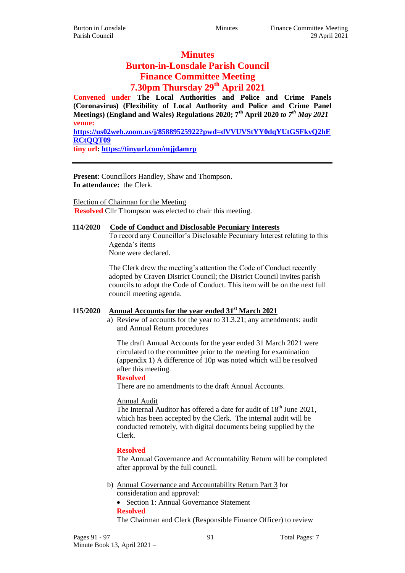#### **Minutes**

# **Burton-in-Lonsdale Parish Council Finance Committee Meeting**

# **7.30pm Thursday 29th April 2021**

**Convened under The Local Authorities and Police and Crime Panels (Coronavirus) (Flexibility of Local Authority and Police and Crime Panel Meetings) (England and Wales) Regulations 2020; 7th April 2020** *to 7th May 2021* **venue:** 

**[https://us02web.zoom.us/j/85889525922?pwd=dVVUVStYY0dqYUtGSFkvQ2hE](https://us02web.zoom.us/j/85889525922?pwd=dVVUVStYY0dqYUtGSFkvQ2hERCtQQT09) [RCtQQT09](https://us02web.zoom.us/j/85889525922?pwd=dVVUVStYY0dqYUtGSFkvQ2hERCtQQT09)**

**tiny url:<https://tinyurl.com/mjjdamrp>**

**Present**: Councillors Handley, Shaw and Thompson. **In attendance:** the Clerk.

Election of Chairman for the Meeting **Resolved** Cllr Thompson was elected to chair this meeting.

## **114/2020 Code of Conduct and Disclosable Pecuniary Interests**

To record any Councillor's Disclosable Pecuniary Interest relating to this Agenda's items None were declared.

The Clerk drew the meeting's attention the Code of Conduct recently adopted by Craven District Council; the District Council invites parish councils to adopt the Code of Conduct. This item will be on the next full council meeting agenda.

## **115/2020 Annual Accounts for the year ended 31st March 2021**

a) Review of accounts for the year to 31.3.21; any amendments: audit and Annual Return procedures

The draft Annual Accounts for the year ended 31 March 2021 were circulated to the committee prior to the meeting for examination (appendix 1) A difference of 10p was noted which will be resolved after this meeting.

#### **Resolved**

There are no amendments to the draft Annual Accounts.

#### Annual Audit

The Internal Auditor has offered a date for audit of 18<sup>th</sup> June 2021, which has been accepted by the Clerk. The internal audit will be conducted remotely, with digital documents being supplied by the Clerk.

#### **Resolved**

The Annual Governance and Accountability Return will be completed after approval by the full council.

b) Annual Governance and Accountability Return Part 3 for consideration and approval:

• Section 1: Annual Governance Statement **Resolved**

The Chairman and Clerk (Responsible Finance Officer) to review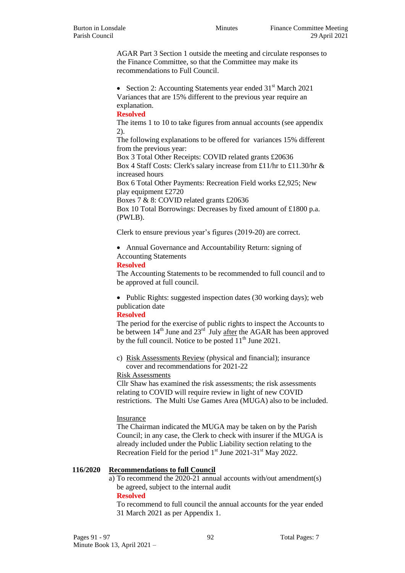AGAR Part 3 Section 1 outside the meeting and circulate responses to the Finance Committee, so that the Committee may make its recommendations to Full Council.

• Section 2: Accounting Statements year ended  $31<sup>st</sup>$  March 2021 Variances that are 15% different to the previous year require an explanation.

#### **Resolved**

The items 1 to 10 to take figures from annual accounts (see appendix 2).

The following explanations to be offered for variances 15% different from the previous year:

Box 3 Total Other Receipts: COVID related grants £20636

Box 4 Staff Costs: Clerk's salary increase from £11/hr to £11.30/hr & increased hours

Box 6 Total Other Payments: Recreation Field works £2,925; New play equipment £2720

Boxes 7 & 8: COVID related grants £20636

Box 10 Total Borrowings: Decreases by fixed amount of £1800 p.a. (PWLB).

Clerk to ensure previous year's figures (2019-20) are correct.

 Annual Governance and Accountability Return: signing of Accounting Statements

#### **Resolved**

The Accounting Statements to be recommended to full council and to be approved at full council.

• Public Rights: suggested inspection dates (30 working days); web publication date

#### **Resolved**

The period for the exercise of public rights to inspect the Accounts to be between  $14<sup>th</sup>$  June and  $23<sup>rd</sup>$  July after the AGAR has been approved by the full council. Notice to be posted  $11<sup>th</sup>$  June 2021.

c) Risk Assessments Review (physical and financial); insurance cover and recommendations for 2021-22

Risk Assessments

Cllr Shaw has examined the risk assessments; the risk assessments relating to COVID will require review in light of new COVID restrictions. The Multi Use Games Area (MUGA) also to be included.

#### Insurance

The Chairman indicated the MUGA may be taken on by the Parish Council; in any case, the Clerk to check with insurer if the MUGA is already included under the Public Liability section relating to the Recreation Field for the period  $1<sup>st</sup>$  June 2021-31 $<sup>st</sup>$  May 2022.</sup>

## **116/2020 Recommendations to full Council**

a) To recommend the 2020-21 annual accounts with/out amendment(s) be agreed, subject to the internal audit

**Resolved**

To recommend to full council the annual accounts for the year ended 31 March 2021 as per Appendix 1.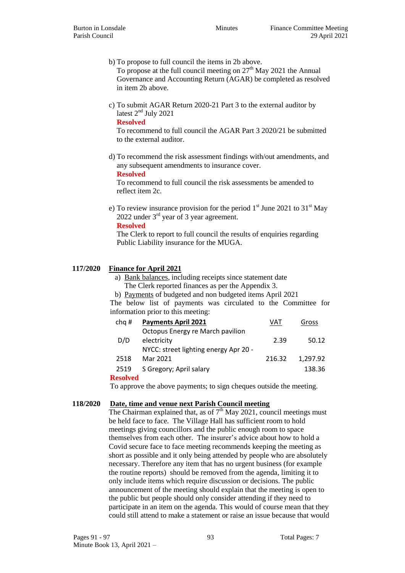b) To propose to full council the items in 2b above.

To propose at the full council meeting on  $27<sup>th</sup>$  May 2021 the Annual Governance and Accounting Return (AGAR) be completed as resolved in item 2b above.

c) To submit AGAR Return 2020-21 Part 3 to the external auditor by latest 2<sup>nd</sup> July 2021

**Resolved**

To recommend to full council the AGAR Part 3 2020/21 be submitted to the external auditor.

d) To recommend the risk assessment findings with/out amendments, and any subsequent amendments to insurance cover. **Resolved**

To recommend to full council the risk assessments be amended to reflect item 2c.

e) To review insurance provision for the period  $1<sup>st</sup>$  June 2021 to 31 $<sup>st</sup>$  May</sup> 2022 under 3rd year of 3 year agreement.

**Resolved**

The Clerk to report to full council the results of enquiries regarding Public Liability insurance for the MUGA.

## **117/2020 Finance for April 2021**

- a) Bank balances, including receipts since statement date
- The Clerk reported finances as per the Appendix 3.

b) Payments of budgeted and non budgeted items April 2021 The below list of payments was circulated to the Committee for information prior to this meeting:

| chq#     | <b>Payments April 2021</b>                      | VAT    | Gross    |
|----------|-------------------------------------------------|--------|----------|
| D/D      | Octopus Energy re March pavilion<br>electricity | 2.39   | 50.12    |
|          | NYCC: street lighting energy Apr 20 -           |        |          |
| 2518     | Mar 2021                                        | 216.32 | 1,297.92 |
| 2519     | S Gregory; April salary                         |        | 138.36   |
| Resolved |                                                 |        |          |

To approve the above payments; to sign cheques outside the meeting.

## **118/2020 Date, time and venue next Parish Council meeting**

The Chairman explained that, as of  $7<sup>th</sup>$  May 2021, council meetings must be held face to face. The Village Hall has sufficient room to hold meetings giving councillors and the public enough room to space themselves from each other. The insurer's advice about how to hold a Covid secure face to face meeting recommends keeping the meeting as short as possible and it only being attended by people who are absolutely necessary. Therefore any item that has no urgent business (for example the routine reports) should be removed from the agenda, limiting it to only include items which require discussion or decisions. The public announcement of the meeting should explain that the meeting is open to the public but people should only consider attending if they need to participate in an item on the agenda. This would of course mean that they could still attend to make a statement or raise an issue because that would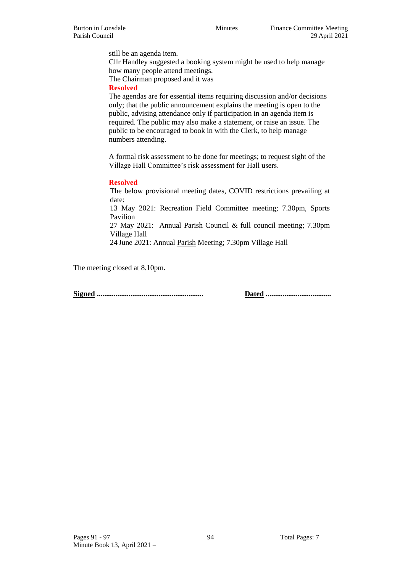still be an agenda item. Cllr Handley suggested a booking system might be used to help manage how many people attend meetings. The Chairman proposed and it was

**Resolved**

The agendas are for essential items requiring discussion and/or decisions only; that the public announcement explains the meeting is open to the public, advising attendance only if participation in an agenda item is required. The public may also make a statement, or raise an issue. The public to be encouraged to book in with the Clerk, to help manage numbers attending.

A formal risk assessment to be done for meetings; to request sight of the Village Hall Committee's risk assessment for Hall users.

#### **Resolved**

The below provisional meeting dates, COVID restrictions prevailing at date:

13 May 2021: Recreation Field Committee meeting; 7.30pm, Sports Pavilion

27 May 2021: Annual Parish Council & full council meeting; 7.30pm Village Hall

24 June 2021: Annual Parish Meeting; 7.30pm Village Hall

The meeting closed at 8.10pm.

**Signed ......................................................... Dated ...................................**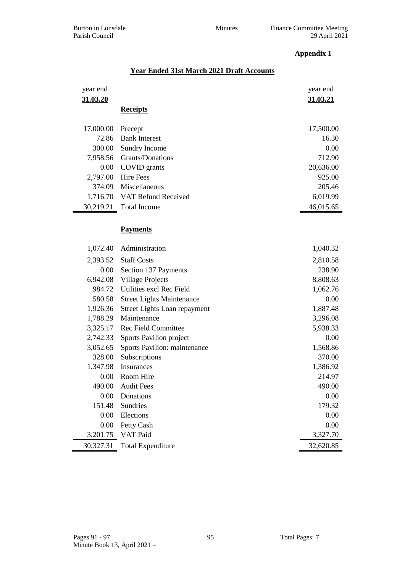## **Appendix 1**

## **Year Ended 31st March 2021 Draft Accounts**

| year end  |                                  | year end  |
|-----------|----------------------------------|-----------|
| 31.03.20  |                                  | 31.03.21  |
|           | <b>Receipts</b>                  |           |
| 17,000.00 | Precept                          | 17,500.00 |
| 72.86     | <b>Bank Interest</b>             | 16.30     |
| 300.00    | Sundry Income                    | 0.00      |
| 7,958.56  | Grants/Donations                 | 712.90    |
| 0.00      | COVID grants                     | 20,636.00 |
| 2,797.00  | <b>Hire Fees</b>                 | 925.00    |
| 374.09    | Miscellaneous                    | 205.46    |
|           | 1,716.70 VAT Refund Received     | 6,019.99  |
| 30,219.21 | <b>Total Income</b>              | 46,015.65 |
|           |                                  |           |
|           | <b>Payments</b>                  |           |
|           |                                  |           |
| 1,072.40  | Administration                   | 1,040.32  |
| 2,393.52  | <b>Staff Costs</b>               | 2,810.58  |
| $0.00\,$  | Section 137 Payments             | 238.90    |
| 6,942.08  | <b>Village Projects</b>          | 8,808.63  |
| 984.72    | Utilities excl Rec Field         | 1,062.76  |
| 580.58    | <b>Street Lights Maintenance</b> | 0.00      |
| 1,926.36  | Street Lights Loan repayment     | 1,887.48  |
| 1,788.29  | Maintenance                      | 3,296.08  |
| 3,325.17  | <b>Rec Field Committee</b>       | 5,938.33  |
| 2,742.33  | Sports Pavilion project          | 0.00      |
| 3,052.65  | Sports Pavilion: maintenance     | 1,568.86  |
| 328.00    | Subscriptions                    | 370.00    |
| 1,347.98  | Insurances                       | 1,386.92  |
| 0.00      | Room Hire                        | 214.97    |
| 490.00    | <b>Audit Fees</b>                | 490.00    |
| 0.00      | Donations                        | 0.00      |
| 151.48    | <b>Sundries</b>                  | 179.32    |
| 0.00      | Elections                        | 0.00      |
| 0.00      | Petty Cash                       | 0.00      |
| 3,201.75  | VAT Paid                         | 3,327.70  |
| 30,327.31 | <b>Total Expenditure</b>         | 32,620.85 |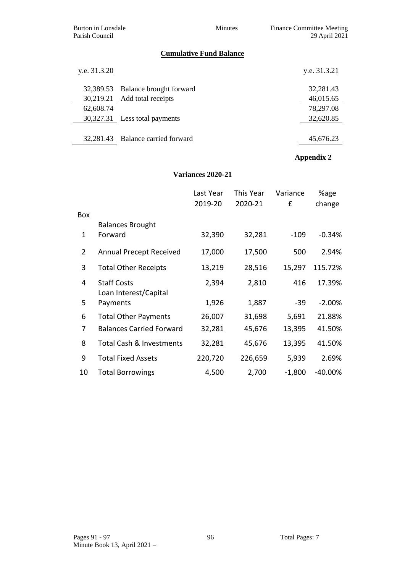Burton in Lonsdale Minutes Finance Committee Meeting Parish Council 29 April 2021

# **Cumulative Fund Balance**

| y.e. 31.3.20 |                                   | y.e. 31.3.21 |
|--------------|-----------------------------------|--------------|
|              | 32,389.53 Balance brought forward | 32,281.43    |
|              | 30,219.21 Add total receipts      | 46,015.65    |
| 62,608.74    |                                   | 78,297.08    |
|              | 30,327.31 Less total payments     | 32,620.85    |
|              |                                   |              |
|              | 32,281.43 Balance carried forward | 45,676.23    |

# **Appendix 2**

#### **Variances 2020-21**

|                |                                             | Last Year | This Year | Variance | %age      |
|----------------|---------------------------------------------|-----------|-----------|----------|-----------|
|                |                                             | 2019-20   | 2020-21   | £        | change    |
| Box            |                                             |           |           |          |           |
|                | <b>Balances Brought</b>                     |           |           |          |           |
| 1              | Forward                                     | 32,390    | 32,281    | $-109$   | $-0.34%$  |
| $\overline{2}$ | <b>Annual Precept Received</b>              | 17,000    | 17,500    | 500      | 2.94%     |
| 3              | <b>Total Other Receipts</b>                 | 13,219    | 28,516    | 15,297   | 115.72%   |
| 4              | <b>Staff Costs</b><br>Loan Interest/Capital | 2,394     | 2,810     | 416      | 17.39%    |
| 5.             | Payments                                    | 1,926     | 1,887     | $-39$    | $-2.00%$  |
| 6              | <b>Total Other Payments</b>                 | 26,007    | 31,698    | 5,691    | 21.88%    |
| 7              | <b>Balances Carried Forward</b>             | 32,281    | 45,676    | 13,395   | 41.50%    |
| 8              | Total Cash & Investments                    | 32,281    | 45,676    | 13,395   | 41.50%    |
| 9              | <b>Total Fixed Assets</b>                   | 220,720   | 226,659   | 5,939    | 2.69%     |
| 10             | <b>Total Borrowings</b>                     | 4,500     | 2,700     | $-1,800$ | $-40.00%$ |